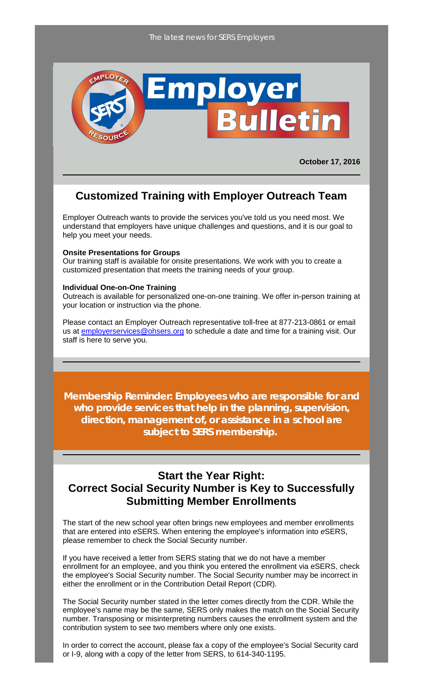

**October 17, 2016**

## **Customized Training with Employer Outreach Team**

Employer Outreach wants to provide the services you've told us you need most. We understand that employers have unique challenges and questions, and it is our goal to help you meet your needs.

#### **Onsite Presentations for Groups**

Our training staff is available for onsite presentations. We work with you to create a customized presentation that meets the training needs of your group.

#### **Individual One-on-One Training**

Outreach is available for personalized one-on-one training. We offer in-person training at your location or instruction via the phone.

Please contact an Employer Outreach representative toll-free at 877-213-0861 or email us at **[employerservices@ohsers.org](mailto:employerservices@ohsers.org)** to schedule a date and time for a training visit. Our staff is here to serve you.

**Membership Reminder: Employees who are responsible for and who provide services that help in the planning, supervision, direction, management of, or assistance in a school are subject to SERS membership.**

### **Start the Year Right: Correct Social Security Number is Key to Successfully Submitting Member Enrollments**

The start of the new school year often brings new employees and member enrollments that are entered into *e*SERS. When entering the employee's information into *e*SERS, please remember to check the Social Security number.

If you have received a letter from SERS stating that we do not have a member enrollment for an employee, and you think you entered the enrollment via eSERS, check the employee's Social Security number. The Social Security number may be incorrect in either the enrollment or in the Contribution Detail Report (CDR).

The Social Security number stated in the letter comes directly from the CDR. While the employee's name may be the same, SERS only makes the match on the Social Security number. Transposing or misinterpreting numbers causes the enrollment system and the contribution system to see two members where only one exists.

In order to correct the account, please fax a copy of the employee's Social Security card or I-9, along with a copy of the letter from SERS, to 614-340-1195.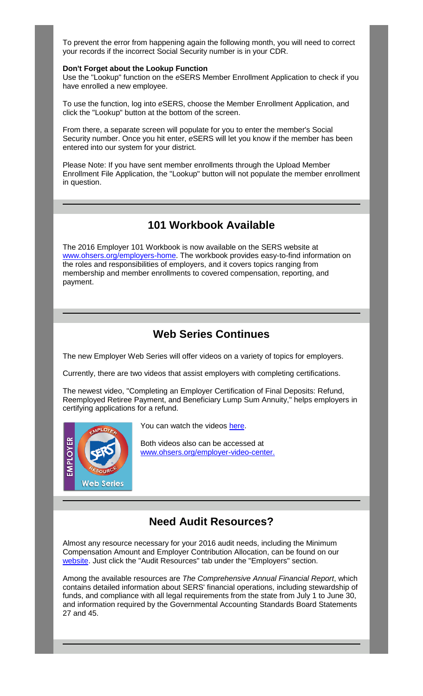To prevent the error from happening again the following month, you will need to correct your records if the incorrect Social Security number is in your CDR.

### **Don't Forget about the Lookup Function**

Use the "Lookup" function on the *e*SERS Member Enrollment Application to check if you have enrolled a new employee.

To use the function, log into *e*SERS, choose the Member Enrollment Application, and click the "Lookup" button at the bottom of the screen.

From there, a separate screen will populate for you to enter the member's Social Security number. Once you hit enter, *e*SERS will let you know if the member has been entered into our system for your district.

Please Note: If you have sent member enrollments through the Upload Member Enrollment File Application, the "Lookup" button will not populate the member enrollment in question.

## **101 Workbook Available**

The 2016 Employer 101 Workbook is now available on the SERS website at [www.ohsers.org/employers-home.](http://www.ohsers.org/employers-home) The workbook provides easy-to-find information on the roles and responsibilities of employers, and it covers topics ranging from membership and member enrollments to covered compensation, reporting, and payment.

# **Web Series Continues**

The new Employer Web Series will offer videos on a variety of topics for employers.

Currently, there are two videos that assist employers with completing certifications.

The newest video, "Completing an Employer Certification of Final Deposits: Refund, Reemployed Retiree Payment, and Beneficiary Lump Sum Annuity," helps employers in certifying applications for a refund.



You can watch the videos [here.](https://www.youtube.com/playlist?list=PLjyUfEK-eC2YW8k7Hw1tlBKp6ZzaBYgBp)

Both videos also can be accessed at www.ohsers.org/employer-video-center.

# **Need Audit Resources?**

Almost any resource necessary for your 2016 audit needs, including the Minimum Compensation Amount and Employer Contribution Allocation, can be found on our [website.](http://www.ohsers.org/) Just click the "Audit Resources" tab under the "Employers" section.

Among the available resources are *The Comprehensive Annual Financial Report*, which contains detailed information about SERS' financial operations, including stewardship of funds, and compliance with all legal requirements from the state from July 1 to June 30, and information required by the Governmental Accounting Standards Board Statements 27 and 45.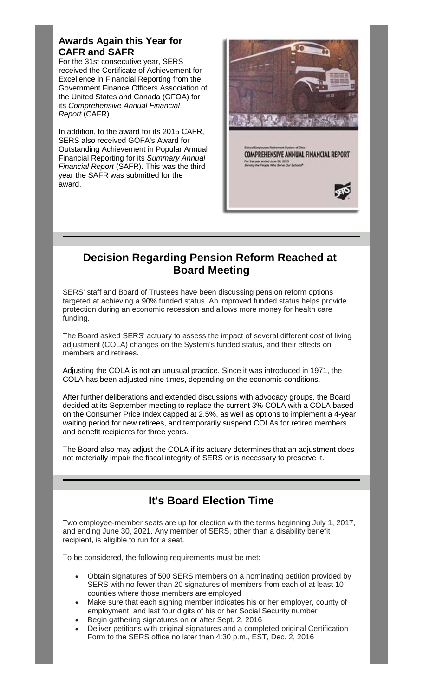### **Awards Again this Year for CAFR and SAFR**

For the 31st consecutive year, SERS received the Certificate of Achievement for Excellence in Financial Reporting from the Government Finance Officers Association of the United States and Canada (GFOA) for its *Comprehensive Annual Financial Report* (CAFR).

In addition, to the award for its 2015 CAFR, SERS also received GOFA's Award for Outstanding Achievement in Popular Annual Financial Reporting for its *Summary Annual Financial Report* (SAFR). This was the third year the SAFR was submitted for the award.



## **Decision Regarding Pension Reform Reached at Board Meeting**

SERS' staff and Board of Trustees have been discussing pension reform options targeted at achieving a 90% funded status. An improved funded status helps provide protection during an economic recession and allows more money for health care funding.

The Board asked SERS' actuary to assess the impact of several different cost of living adjustment (COLA) changes on the System's funded status, and their effects on members and retirees.

Adjusting the COLA is not an unusual practice. Since it was introduced in 1971, the COLA has been adjusted nine times, depending on the economic conditions.

After further deliberations and extended discussions with advocacy groups, the Board decided at its September meeting to replace the current 3% COLA with a COLA based on the Consumer Price Index capped at 2.5%, as well as options to implement a 4-year waiting period for new retirees, and temporarily suspend COLAs for retired members and benefit recipients for three years.

The Board also may adjust the COLA if its actuary determines that an adjustment does not materially impair the fiscal integrity of SERS or is necessary to preserve it.

# **It's Board Election Time**

Two employee-member seats are up for election with the terms beginning July 1, 2017, and ending June 30, 2021. Any member of SERS, other than a disability benefit recipient, is eligible to run for a seat.

To be considered, the following requirements must be met:

- Obtain signatures of 500 SERS members on a nominating petition provided by SERS with no fewer than 20 signatures of members from each of at least 10 counties where those members are employed
- Make sure that each signing member indicates his or her employer, county of employment, and last four digits of his or her Social Security number
- Begin gathering signatures on or after Sept. 2, 2016
- Deliver petitions with original signatures and a completed original Certification Form to the SERS office no later than 4:30 p.m., EST, Dec. 2, 2016